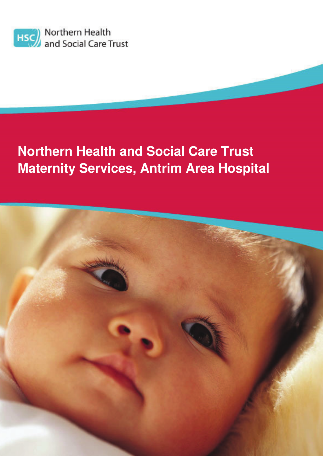

# **Northern Health and Social Care Trust Maternity Services, Antrim Area Hospital**

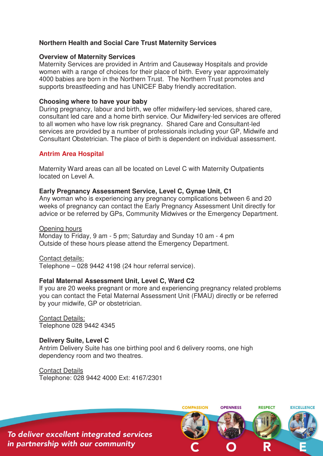## **Northern Health and Social Care Trust Maternity Services**

#### **Overview of Maternity Services**

Maternity Services are provided in Antrim and Causeway Hospitals and provide women with a range of choices for their place of birth. Every year approximately 4000 babies are born in the Northern Trust. The Northern Trust promotes and supports breastfeeding and has UNICEF Baby friendly accreditation.

#### **Choosing where to have your baby**

During pregnancy, labour and birth, we offer midwifery-led services, shared care, consultant led care and a home birth service. Our Midwifery-led services are offered to all women who have low risk pregnancy. Shared Care and Consultant-led services are provided by a number of professionals including your GP, Midwife and Consultant Obstetrician. The place of birth is dependent on individual assessment.

## **Antrim Area Hospital**

Maternity Ward areas can all be located on Level C with Maternity Outpatients located on Level A.

#### **Early Pregnancy Assessment Service, Level C, Gynae Unit, C1**

Any woman who is experiencing any pregnancy complications between 6 and 20 weeks of pregnancy can contact the Early Pregnancy Assessment Unit directly for advice or be referred by GPs, Community Midwives or the Emergency Department.

#### Opening hours

Monday to Friday, 9 am - 5 pm; Saturday and Sunday 10 am - 4 pm Outside of these hours please attend the Emergency Department.

#### Contact details:

Telephone – 028 9442 4198 (24 hour referral service).

#### **Fetal Maternal Assessment Unit, Level C, Ward C2**

If you are 20 weeks pregnant or more and experiencing pregnancy related problems you can contact the Fetal Maternal Assessment Unit (FMAU) directly or be referred by your midwife, GP or obstetrician.

Contact Details: Telephone 028 9442 4345

#### **Delivery Suite, Level C**

Antrim Delivery Suite has one birthing pool and 6 delivery rooms, one high dependency room and two theatres.

Contact Details

Telephone: 028 9442 4000 Ext: 4167/2301